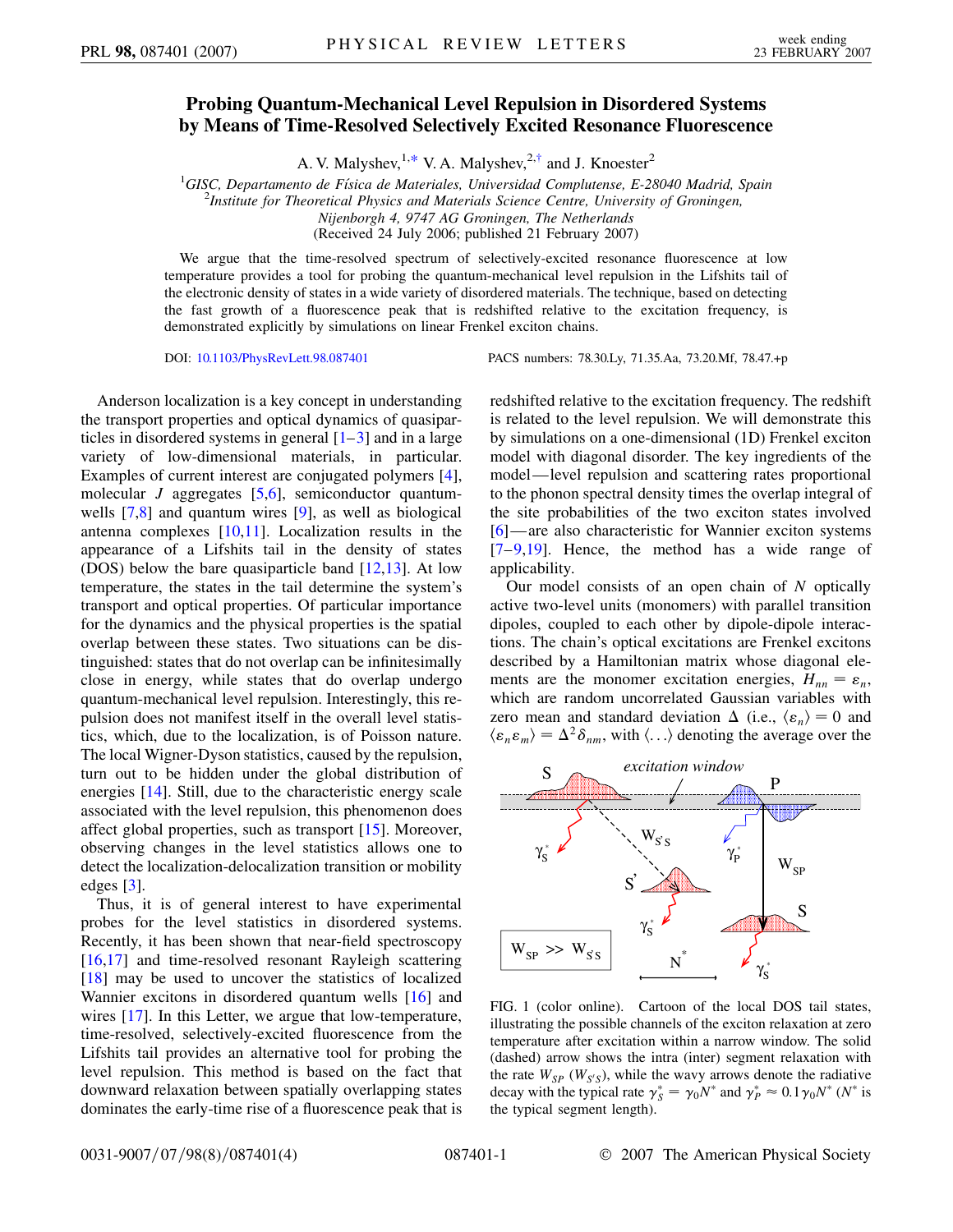## **Probing Quantum-Mechanical Level Repulsion in Disordered Systems by Means of Time-Resolved Selectively Excited Resonance Fluorescence**

A. V. Malyshev,  $1, *$  $1, *$  V. A. Malyshev,  $2, †$  and J. Knoester<sup>2</sup>

<span id="page-0-2"></span><sup>1</sup>GISC, Departamento de Física de Materiales, Universidad Complutense, E-28040 Madrid, Spain<br><sup>2</sup>Institute for Theoretical Physics and Materials Science Centre, University of Grovingen *Institute for Theoretical Physics and Materials Science Centre, University of Groningen, Nijenborgh 4, 9747 AG Groningen, The Netherlands*

(Received 24 July 2006; published 21 February 2007)

We argue that the time-resolved spectrum of selectively-excited resonance fluorescence at low temperature provides a tool for probing the quantum-mechanical level repulsion in the Lifshits tail of the electronic density of states in a wide variety of disordered materials. The technique, based on detecting the fast growth of a fluorescence peak that is redshifted relative to the excitation frequency, is demonstrated explicitly by simulations on linear Frenkel exciton chains.

Anderson localization is a key concept in understanding the transport properties and optical dynamics of quasiparticles in disordered systems in general  $[1-3]$  $[1-3]$  $[1-3]$  and in a large variety of low-dimensional materials, in particular. Examples of current interest are conjugated polymers [[4\]](#page-3-4), molecular *J* aggregates [[5](#page-3-5)[,6\]](#page-3-6), semiconductor quantumwells [[7](#page-3-7)[,8\]](#page-3-8) and quantum wires [\[9](#page-3-9)], as well as biological antenna complexes  $[10,11]$  $[10,11]$  $[10,11]$  $[10,11]$ . Localization results in the appearance of a Lifshits tail in the density of states (DOS) below the bare quasiparticle band [[12,](#page-3-12)[13](#page-3-13)]. At low temperature, the states in the tail determine the system's transport and optical properties. Of particular importance for the dynamics and the physical properties is the spatial overlap between these states. Two situations can be distinguished: states that do not overlap can be infinitesimally close in energy, while states that do overlap undergo quantum-mechanical level repulsion. Interestingly, this repulsion does not manifest itself in the overall level statistics, which, due to the localization, is of Poisson nature. The local Wigner-Dyson statistics, caused by the repulsion, turn out to be hidden under the global distribution of energies [[14](#page-3-14)]. Still, due to the characteristic energy scale associated with the level repulsion, this phenomenon does affect global properties, such as transport [[15](#page-3-15)]. Moreover, observing changes in the level statistics allows one to detect the localization-delocalization transition or mobility edges [\[3\]](#page-3-3).

Thus, it is of general interest to have experimental probes for the level statistics in disordered systems. Recently, it has been shown that near-field spectroscopy [\[16](#page-3-16)[,17\]](#page-3-17) and time-resolved resonant Rayleigh scattering [\[18\]](#page-3-18) may be used to uncover the statistics of localized Wannier excitons in disordered quantum wells [[16\]](#page-3-16) and wires [[17](#page-3-17)]. In this Letter, we argue that low-temperature, time-resolved, selectively-excited fluorescence from the Lifshits tail provides an alternative tool for probing the level repulsion. This method is based on the fact that downward relaxation between spatially overlapping states dominates the early-time rise of a fluorescence peak that is

DOI: [10.1103/PhysRevLett.98.087401](http://dx.doi.org/10.1103/PhysRevLett.98.087401) PACS numbers: 78.30.Ly, 71.35.Aa, 73.20.Mf, 78.47.+p

redshifted relative to the excitation frequency. The redshift is related to the level repulsion. We will demonstrate this by simulations on a one-dimensional (1D) Frenkel exciton model with diagonal disorder. The key ingredients of the model—level repulsion and scattering rates proportional to the phonon spectral density times the overlap integral of the site probabilities of the two exciton states involved [\[6\]](#page-3-6)—are also characteristic for Wannier exciton systems [\[7](#page-3-7)[–9](#page-3-9)[,19](#page-3-19)]. Hence, the method has a wide range of applicability.

Our model consists of an open chain of *N* optically active two-level units (monomers) with parallel transition dipoles, coupled to each other by dipole-dipole interactions. The chain's optical excitations are Frenkel excitons described by a Hamiltonian matrix whose diagonal elements are the monomer excitation energies,  $H_{nn} = \varepsilon_n$ , which are random uncorrelated Gaussian variables with zero mean and standard deviation  $\Delta$  (i.e.,  $\langle \varepsilon_n \rangle = 0$  and  $\langle \varepsilon_n \varepsilon_m \rangle = \Delta^2 \delta_{nm}$ , with  $\langle ... \rangle$  denoting the average over the

<span id="page-0-1"></span><span id="page-0-0"></span>

FIG. 1 (color online). Cartoon of the local DOS tail states, illustrating the possible channels of the exciton relaxation at zero temperature after excitation within a narrow window. The solid (dashed) arrow shows the intra (inter) segment relaxation with the rate  $W_{SP}$  ( $W_{S/S}$ ), while the wavy arrows denote the radiative decay with the typical rate  $\gamma_S^* = \gamma_0 N^*$  and  $\gamma_P^* \approx 0.1 \gamma_0 N^*$  ( $N^*$  is the typical segment length).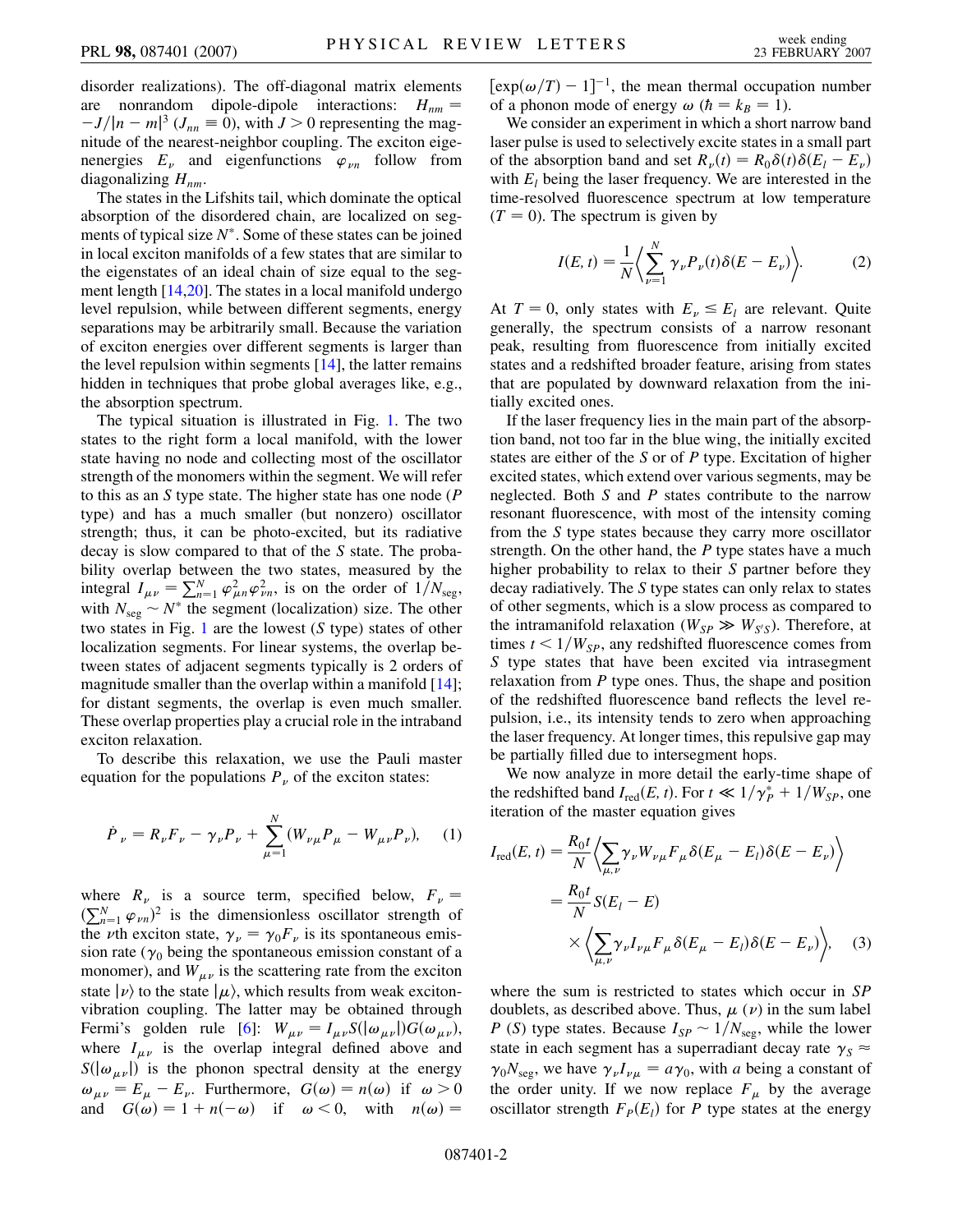disorder realizations). The off-diagonal matrix elements are nonrandom dipole-dipole interactions:  $H_{nm}$  =  $-J/|n-m|^3$  ( $J_{nn} \equiv 0$ ), with  $J > 0$  representing the magnitude of the nearest-neighbor coupling. The exciton eigenenergies  $E_{\nu}$  and eigenfunctions  $\varphi_{\nu n}$  follow from diagonalizing  $H_{nm}$ .

The states in the Lifshits tail, which dominate the optical absorption of the disordered chain, are localized on segments of typical size  $N^*$ . Some of these states can be joined in local exciton manifolds of a few states that are similar to the eigenstates of an ideal chain of size equal to the segment length [\[14,](#page-3-14)[20\]](#page-3-20). The states in a local manifold undergo level repulsion, while between different segments, energy separations may be arbitrarily small. Because the variation of exciton energies over different segments is larger than the level repulsion within segments [\[14\]](#page-3-14), the latter remains hidden in techniques that probe global averages like, e.g., the absorption spectrum.

The typical situation is illustrated in Fig. [1.](#page-0-0) The two states to the right form a local manifold, with the lower state having no node and collecting most of the oscillator strength of the monomers within the segment. We will refer to this as an *S* type state. The higher state has one node (*P* type) and has a much smaller (but nonzero) oscillator strength; thus, it can be photo-excited, but its radiative decay is slow compared to that of the *S* state. The probability overlap between the two states, measured by the integral  $I_{\mu\nu} = \sum_{n=1}^{N} \varphi_{\mu n}^2 \varphi_{\nu n}^2$ , is on the order of  $1/N_{\text{seg}}$ , with  $N_{\text{seg}} \sim N^*$  the segment (localization) size. The other two states in Fig. [1](#page-0-0) are the lowest (*S* type) states of other localization segments. For linear systems, the overlap between states of adjacent segments typically is 2 orders of magnitude smaller than the overlap within a manifold [\[14\]](#page-3-14); for distant segments, the overlap is even much smaller. These overlap properties play a crucial role in the intraband exciton relaxation.

To describe this relaxation, we use the Pauli master equation for the populations  $P<sub>\nu</sub>$  of the exciton states:

$$
\dot{P}_{\nu} = R_{\nu} F_{\nu} - \gamma_{\nu} P_{\nu} + \sum_{\mu=1}^{N} (W_{\nu\mu} P_{\mu} - W_{\mu\nu} P_{\nu}), \quad (1)
$$

where  $R_v$  is a source term, specified below,  $F_v =$  $(\sum_{n=1}^{N} \varphi_{\nu n})^2$  is the dimensionless oscillator strength of the *v*th exciton state,  $\gamma_{\nu} = \gamma_0 F_{\nu}$  is its spontaneous emission rate ( $\gamma_0$  being the spontaneous emission constant of a monomer), and  $W_{\mu\nu}$  is the scattering rate from the exciton state  $\ket{\nu}$  to the state  $\ket{\mu}$ , which results from weak excitonvibration coupling. The latter may be obtained through Fermi's golden rule [\[6](#page-3-6)]:  $W_{\mu\nu} = I_{\mu\nu} S(|\omega_{\mu\nu}|) G(\omega_{\mu\nu}),$ where  $I_{\mu\nu}$  is the overlap integral defined above and  $S(|\omega_{\mu\nu}|)$  is the phonon spectral density at the energy  $\omega_{\mu\nu} = E_{\mu} - E_{\nu}$ . Furthermore,  $G(\omega) = n(\omega)$  if  $\omega > 0$ and  $G(\omega) = 1 + n(-\omega)$  if  $\omega < 0$ , with  $n(\omega) =$ 

 $[\exp(\omega/T) - 1]^{-1}$ , the mean thermal occupation number of a phonon mode of energy  $\omega$  ( $\hbar = k_B = 1$ ).

We consider an experiment in which a short narrow band laser pulse is used to selectively excite states in a small part of the absorption band and set  $R_{\nu}(t) = R_0 \delta(t) \delta(E_l - E_{\nu})$ with  $E_l$  being the laser frequency. We are interested in the time-resolved fluorescence spectrum at low temperature  $(T = 0)$ . The spectrum is given by

<span id="page-1-0"></span>
$$
I(E, t) = \frac{1}{N} \left\langle \sum_{\nu=1}^{N} \gamma_{\nu} P_{\nu}(t) \delta(E - E_{\nu}) \right\rangle.
$$
 (2)

At  $T = 0$ , only states with  $E_{\nu} \leq E_{l}$  are relevant. Quite generally, the spectrum consists of a narrow resonant peak, resulting from fluorescence from initially excited states and a redshifted broader feature, arising from states that are populated by downward relaxation from the initially excited ones.

If the laser frequency lies in the main part of the absorption band, not too far in the blue wing, the initially excited states are either of the *S* or of *P* type. Excitation of higher excited states, which extend over various segments, may be neglected. Both *S* and *P* states contribute to the narrow resonant fluorescence, with most of the intensity coming from the *S* type states because they carry more oscillator strength. On the other hand, the *P* type states have a much higher probability to relax to their *S* partner before they decay radiatively. The *S* type states can only relax to states of other segments, which is a slow process as compared to the intramanifold relaxation ( $W_{SP} \gg W_{S'S}$ ). Therefore, at times  $t < 1/W_{SP}$ , any redshifted fluorescence comes from *S* type states that have been excited via intrasegment relaxation from *P* type ones. Thus, the shape and position of the redshifted fluorescence band reflects the level repulsion, i.e., its intensity tends to zero when approaching the laser frequency. At longer times, this repulsive gap may be partially filled due to intersegment hops.

We now analyze in more detail the early-time shape of the redshifted band  $I_{\text{red}}(E, t)$ . For  $t \ll 1/\gamma_P^* + 1/W_{SP}$ , one iteration of the master equation gives

$$
I_{\text{red}}(E, t) = \frac{R_0 t}{N} \left\langle \sum_{\mu, \nu} \gamma_{\nu} W_{\nu \mu} F_{\mu} \delta(E_{\mu} - E_l) \delta(E - E_{\nu}) \right\rangle
$$
  

$$
= \frac{R_0 t}{N} S(E_l - E)
$$
  

$$
\times \left\langle \sum_{\mu, \nu} \gamma_{\nu} I_{\nu \mu} F_{\mu} \delta(E_{\mu} - E_l) \delta(E - E_{\nu}) \right\rangle, \quad (3)
$$

where the sum is restricted to states which occur in *SP* doublets, as described above. Thus,  $\mu(\nu)$  in the sum label *P* (*S*) type states. Because  $I_{SP} \sim 1/N_{seg}$ , while the lower state in each segment has a superradiant decay rate  $\gamma_s \approx$  $\gamma_0 N_{\text{seg}}$ , we have  $\gamma_\nu I_{\nu\mu} = a \gamma_0$ , with *a* being a constant of the order unity. If we now replace  $F_{\mu}$  by the average oscillator strength  $F_P(E_l)$  for *P* type states at the energy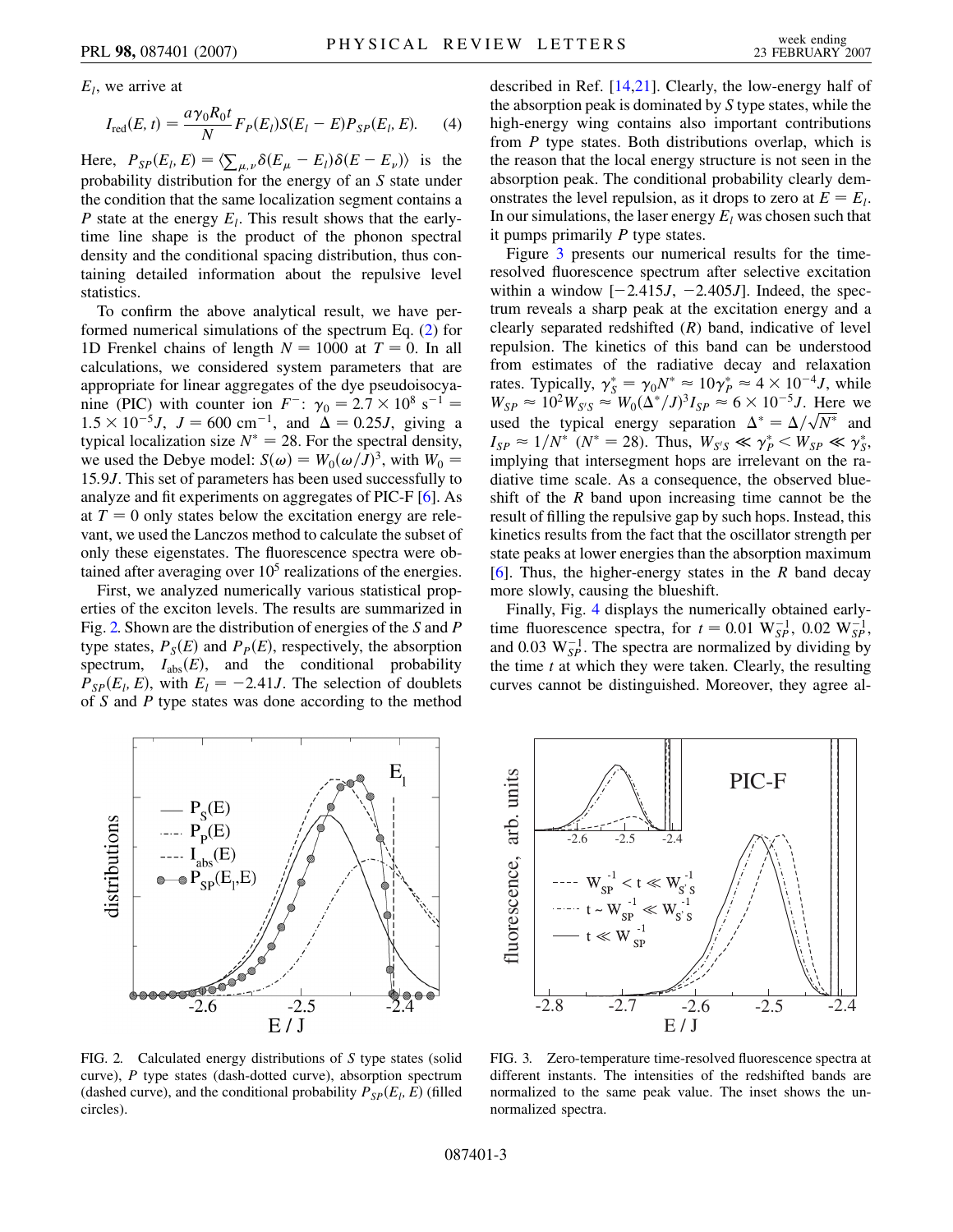*El*, we arrive at

$$
I_{\rm red}(E, t) = \frac{a\gamma_0 R_0 t}{N} F_P(E_l) S(E_l - E) P_{SP}(E_l, E). \tag{4}
$$

Here,  $P_{SP}(E_l, E) = \langle \sum_{\mu,\nu} \delta(E_\mu - E_l) \delta(E - E_\nu) \rangle$  is the probability distribution for the energy of an *S* state under the condition that the same localization segment contains a *P* state at the energy  $E_l$ . This result shows that the earlytime line shape is the product of the phonon spectral density and the conditional spacing distribution, thus containing detailed information about the repulsive level statistics.

To confirm the above analytical result, we have performed numerical simulations of the spectrum Eq. ([2](#page-1-0)) for 1D Frenkel chains of length  $N = 1000$  at  $T = 0$ . In all calculations, we considered system parameters that are appropriate for linear aggregates of the dye pseudoisocyanine (PIC) with counter ion  $F^-$ :  $\gamma_0 = 2.7 \times 10^8 \text{ s}^{-1} =$  $1.5 \times 10^{-5}$ *J*,  $J = 600 \text{ cm}^{-1}$ , and  $\Delta = 0.25J$ , giving a typical localization size  $N^* = 28$ . For the spectral density, we used the Debye model:  $S(\omega) = W_0(\omega/J)^3$ , with  $W_0 =$ 15*:*9*J*. This set of parameters has been used successfully to analyze and fit experiments on aggregates of PIC-F [[6\]](#page-3-6). As at  $T = 0$  only states below the excitation energy are relevant, we used the Lanczos method to calculate the subset of only these eigenstates. The fluorescence spectra were obtained after averaging over  $10<sup>5</sup>$  realizations of the energies.

First, we analyzed numerically various statistical properties of the exciton levels. The results are summarized in Fig. [2.](#page-2-0) Shown are the distribution of energies of the *S* and *P* type states,  $P_S(E)$  and  $P_P(E)$ , respectively, the absorption spectrum,  $I_{\text{abs}}(E)$ , and the conditional probability  $P_{SP}(E_l, E)$ , with  $E_l = -2.41J$ . The selection of doublets of *S* and *P* type states was done according to the method described in Ref. [[14](#page-3-14)[,21](#page-3-21)]. Clearly, the low-energy half of the absorption peak is dominated by *S* type states, while the high-energy wing contains also important contributions from *P* type states. Both distributions overlap, which is the reason that the local energy structure is not seen in the absorption peak. The conditional probability clearly demonstrates the level repulsion, as it drops to zero at  $E = E_l$ . In our simulations, the laser energy  $E_l$  was chosen such that it pumps primarily *P* type states.

Figure [3](#page-2-1) presents our numerical results for the timeresolved fluorescence spectrum after selective excitation within a window  $[-2.415J, -2.405J]$ . Indeed, the spectrum reveals a sharp peak at the excitation energy and a clearly separated redshifted (*R*) band, indicative of level repulsion. The kinetics of this band can be understood from estimates of the radiative decay and relaxation rates. Typically,  $\gamma_S^* = \gamma_0 N^* \approx 10 \gamma_P^* \approx 4 \times 10^{-4} J$ , while  $W_{SP} \approx 10^2 W_{S'S} \approx W_0 (\Delta^* / J)^3 I_{SP} \approx 6 \times 10^{-5} J$ . Here we  $W_{SP} \approx 10^{-1} W_{S/S} \approx W_0 (\Delta / J)^2 I_{SP} \approx 6 \times 10^{-3} J$ . Here we used the typical energy separation  $\Delta^* = \Delta / \sqrt{N^*}$  and  $I_{SP} \approx 1/N^*$  ( $N^* = 28$ ). Thus,  $W_{S/S} \ll \gamma_P^* \ll W_{SP} \ll \gamma_S^*$ , implying that intersegment hops are irrelevant on the radiative time scale. As a consequence, the observed blueshift of the *R* band upon increasing time cannot be the result of filling the repulsive gap by such hops. Instead, this kinetics results from the fact that the oscillator strength per state peaks at lower energies than the absorption maximum [\[6\]](#page-3-6). Thus, the higher-energy states in the *R* band decay more slowly, causing the blueshift.

Finally, Fig. [4](#page-3-22) displays the numerically obtained earlytime fluorescence spectra, for  $t = 0.01 \text{ W}_{SP}^{-1}$ , 0.02 W<sub>SP</sub>, and 0.03  $W_{SP}^{-1}$ . The spectra are normalized by dividing by the time *t* at which they were taken. Clearly, the resulting curves cannot be distinguished. Moreover, they agree al-

<span id="page-2-0"></span>

<span id="page-2-1"></span>

FIG. 2. Calculated energy distributions of *S* type states (solid curve), *P* type states (dash-dotted curve), absorption spectrum (dashed curve), and the conditional probability  $P_{SP}(E_l, E)$  (filled circles).

FIG. 3. Zero-temperature time-resolved fluorescence spectra at different instants. The intensities of the redshifted bands are normalized to the same peak value. The inset shows the unnormalized spectra.